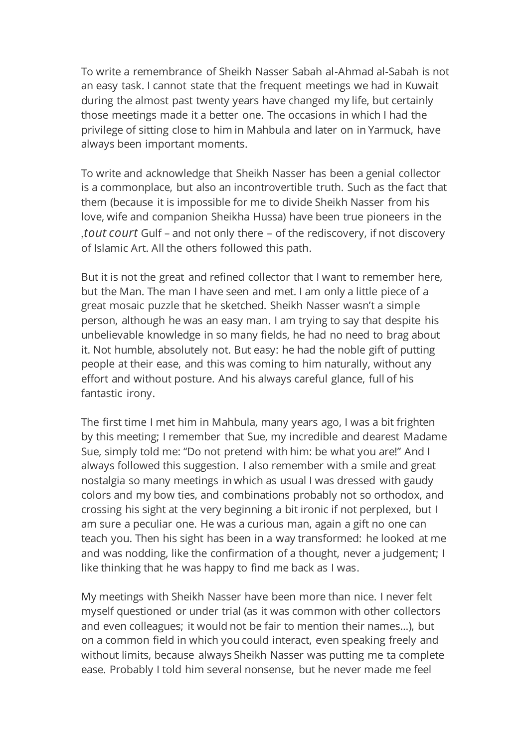To write a remembrance of Sheikh Nasser Sabah al-Ahmad al-Sabah is not an easy task. I cannot state that the frequent meetings we had in Kuwait during the almost past twenty years have changed my life, but certainly those meetings made it a better one. The occasions in which I had the privilege of sitting close to him in Mahbula and later on in Yarmuck, have always been important moments.

To write and acknowledge that Sheikh Nasser has been a genial collector is a commonplace, but also an incontrovertible truth. Such as the fact that them (because it is impossible for me to divide Sheikh Nasser from his love, wife and companion Sheikha Hussa) have been true pioneers in the ,*tout court* Gulf – and not only there – of the rediscovery, if not discovery of Islamic Art. All the others followed this path.

But it is not the great and refined collector that I want to remember here, but the Man. The man I have seen and met. I am only a little piece of a great mosaic puzzle that he sketched. Sheikh Nasser wasn't a simple person, although he was an easy man. I am trying to say that despite his unbelievable knowledge in so many fields, he had no need to brag about it. Not humble, absolutely not. But easy: he had the noble gift of putting people at their ease, and this was coming to him naturally, without any effort and without posture. And his always careful glance, full of his fantastic irony.

The first time I met him in Mahbula, many years ago, I was a bit frighten by this meeting; I remember that Sue, my incredible and dearest Madame Sue, simply told me: "Do not pretend with him: be what you are!" And I always followed this suggestion. I also remember with a smile and great nostalgia so many meetings in which as usual I was dressed with gaudy colors and my bow ties, and combinations probably not so orthodox, and crossing his sight at the very beginning a bit ironic if not perplexed, but I am sure a peculiar one. He was a curious man, again a gift no one can teach you. Then his sight has been in a way transformed: he looked at me and was nodding, like the confirmation of a thought, never a judgement; I like thinking that he was happy to find me back as I was.

My meetings with Sheikh Nasser have been more than nice. I never felt myself questioned or under trial (as it was common with other collectors and even colleagues; it would not be fair to mention their names…), but on a common field in which you could interact, even speaking freely and without limits, because always Sheikh Nasser was putting me ta complete ease. Probably I told him several nonsense, but he never made me feel